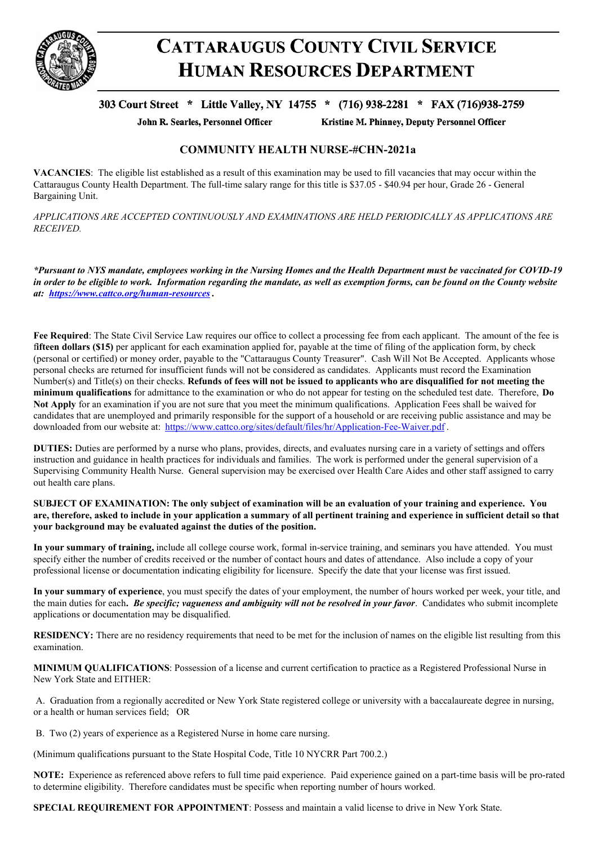

## **CATTARAUGUS COUNTY CIVIL SERVICE HUMAN RESOURCES DEPARTMENT**

## 303 Court Street \* Little Valley, NY 14755 \* (716) 938-2281 \* FAX (716)938-2759

John R. Searles, Personnel Officer

Kristine M. Phinney, Deputy Personnel Officer

## **COMMUNITY HEALTH NURSE-#CHN-2021a**

**VACANCIES**: The eligible list established as a result of this examination may be used to fill vacancies that may occur within the Cattaraugus County Health Department. The full-time salary range for this title is \$37.05 - \$40.94 per hour, Grade 26 - General Bargaining Unit.

*APPLICATIONS ARE ACCEPTED CONTINUOUSLY AND EXAMINATIONS ARE HELD PERIODICALLY AS APPLICATIONS ARE RECEIVED.*

\*Pursuant to NYS mandate, employees working in the Nursing Homes and the Health Department must be vaccinated for COVID-19 in order to be eligible to work. Information regarding the mandate, as well as exemption forms, can be found on the County website *at: <https://www.cattco.org/human-resources> .*

**Fee Required**: The State Civil Service Law requires our office to collect a processing fee from each applicant. The amount of the fee is f**ifteen dollars (\$15)** per applicant for each examination applied for, payable at the time of filing of the application form, by check (personal or certified) or money order, payable to the "Cattaraugus County Treasurer". Cash Will Not Be Accepted. Applicants whose personal checks are returned for insufficient funds will not be considered as candidates. Applicants must record the Examination Number(s) and Title(s) on their checks. Refunds of fees will not be issued to applicants who are disqualified for not meeting the **minimum qualifications** for admittance to the examination or who do not appear for testing on the scheduled test date. Therefore, **Do Not Apply** for an examination if you are not sure that you meet the minimum qualifications. Application Fees shall be waived for candidates that are unemployed and primarily responsible for the support of a household or are receiving public assistance and may be downloaded from our website at: <https://www.cattco.org/sites/default/files/hr/Application-Fee-Waiver.pdf>.

**DUTIES:** Duties are performed by a nurse who plans, provides, directs, and evaluates nursing care in a variety of settings and offers instruction and guidance in health practices for individuals and families. The work is performed under the general supervision of a Supervising Community Health Nurse. General supervision may be exercised over Health Care Aides and other staff assigned to carry out health care plans.

SUBJECT OF EXAMINATION: The only subject of examination will be an evaluation of your training and experience. You are, therefore, asked to include in your application a summary of all pertinent training and experience in sufficient detail so that **your background may be evaluated against the duties of the position.**

**In your summary of training,** include all college course work, formal in-service training, and seminars you have attended. You must specify either the number of credits received or the number of contact hours and dates of attendance. Also include a copy of your professional license or documentation indicating eligibility for licensure. Specify the date that your license was first issued.

**In your summary of experience**, you must specify the dates of your employment, the number of hours worked per week, your title, and the main duties for each**.** *Be specific; vagueness and ambiguity will not be resolved in your favor*. Candidates who submit incomplete applications or documentation may be disqualified.

**RESIDENCY:** There are no residency requirements that need to be met for the inclusion of names on the eligible list resulting from this examination.

**MINIMUM QUALIFICATIONS**: Possession of a license and current certification to practice as a Registered Professional Nurse in New York State and EITHER:

A. Graduation from a regionally accredited or New York State registered college or university with a baccalaureate degree in nursing, or a health or human services field; OR

B. Two (2) years of experience as a Registered Nurse in home care nursing.

(Minimum qualifications pursuant to the State Hospital Code, Title 10 NYCRR Part 700.2.)

**NOTE:** Experience as referenced above refers to full time paid experience. Paid experience gained on a part-time basis will be pro-rated to determine eligibility. Therefore candidates must be specific when reporting number of hours worked.

**SPECIAL REQUIREMENT FOR APPOINTMENT**: Possess and maintain a valid license to drive in New York State.